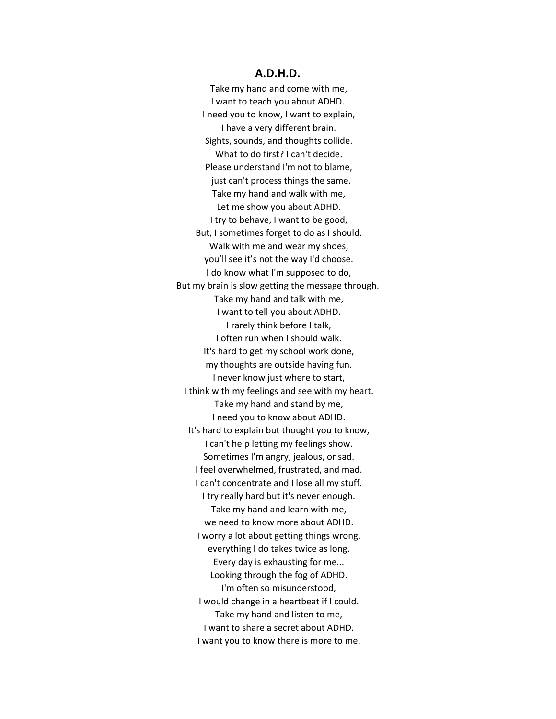## **A.D.H.D.**

Take my hand and come with me, I want to teach you about ADHD. I need you to know, I want to explain, I have a very different brain. Sights, sounds, and thoughts collide. What to do first? I can't decide. Please understand I'm not to blame, I just can't process things the same. Take my hand and walk with me, Let me show you about ADHD. I try to behave, I want to be good, But, I sometimes forget to do as I should. Walk with me and wear my shoes, you'll see it's not the way I'd choose. I do know what I'm supposed to do, But my brain is slow getting the message through. Take my hand and talk with me, I want to tell you about ADHD. I rarely think before I talk, I often run when I should walk. It's hard to get my school work done, my thoughts are outside having fun. I never know just where to start, I think with my feelings and see with my heart. Take my hand and stand by me, I need you to know about ADHD. It's hard to explain but thought you to know, I can't help letting my feelings show. Sometimes I'm angry, jealous, or sad. I feel overwhelmed, frustrated, and mad. I can't concentrate and I lose all my stuff. I try really hard but it's never enough. Take my hand and learn with me, we need to know more about ADHD. I worry a lot about getting things wrong, everything I do takes twice as long. Every day is exhausting for me... Looking through the fog of ADHD. I'm often so misunderstood, I would change in a heartbeat if I could. Take my hand and listen to me, I want to share a secret about ADHD. I want you to know there is more to me.